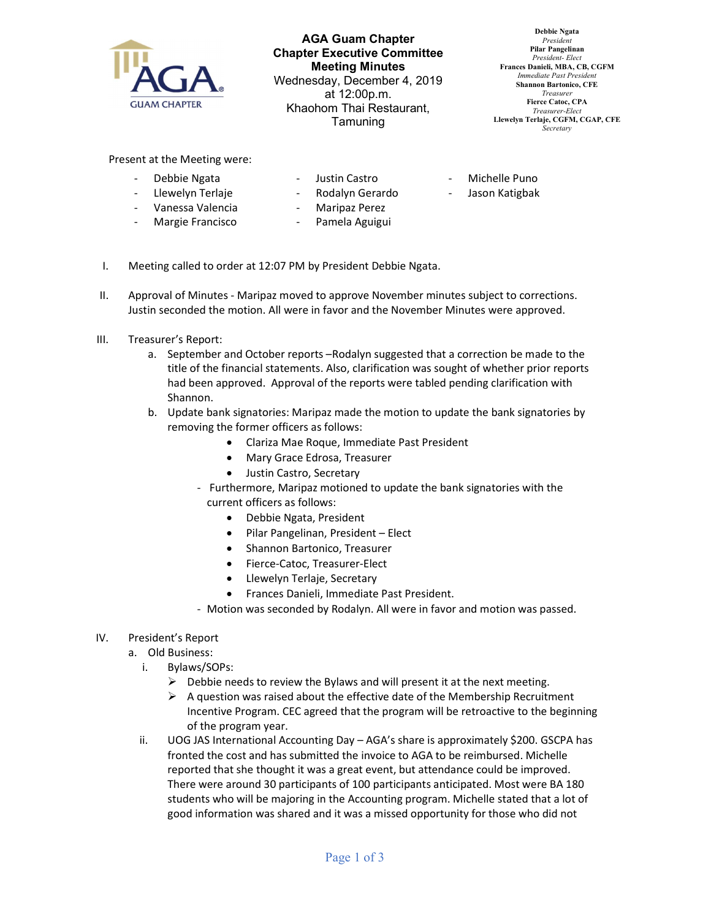

AGA Guam Chapter Chapter Executive Committee Meeting Minutes Wednesday, December 4, 2019 at 12:00p.m. Khaohom Thai Restaurant, Tamuning

Debbie Ngata President Pilar Pangelinan President- Elect Frances Danieli, MBA, CB, CGFM Immediate Past Presiden Shannon Bartonico, CFE Treasurer Fierce Catoc, CPA Treasurer-Elect Llewelyn Terlaje, CGFM, CGAP, CFE **Secretary** 

Present at the Meeting were:

- Debbie Ngata
- Justin Castro
- Michelle Puno
- Jason Katigbak
- Llewelyn Terlaje - Vanessa Valencia - Margie Francisco
- Rodalyn Gerardo
- Maripaz Perez
- Pamela Aguigui
- I. Meeting called to order at 12:07 PM by President Debbie Ngata.
- II. Approval of Minutes Maripaz moved to approve November minutes subject to corrections. Justin seconded the motion. All were in favor and the November Minutes were approved.
- III. Treasurer's Report:
	- a. September and October reports –Rodalyn suggested that a correction be made to the title of the financial statements. Also, clarification was sought of whether prior reports had been approved. Approval of the reports were tabled pending clarification with Shannon.
	- b. Update bank signatories: Maripaz made the motion to update the bank signatories by removing the former officers as follows:
		- Clariza Mae Roque, Immediate Past President
		- Mary Grace Edrosa, Treasurer
		- Justin Castro, Secretary
		- Furthermore, Maripaz motioned to update the bank signatories with the current officers as follows:
			- Debbie Ngata, President
			- Pilar Pangelinan, President Elect
			- Shannon Bartonico, Treasurer
			- Fierce-Catoc, Treasurer-Elect
			- Llewelyn Terlaje, Secretary
			- Frances Danieli, Immediate Past President.
		- Motion was seconded by Rodalyn. All were in favor and motion was passed.

## IV. President's Report

- a. Old Business:
	- i. Bylaws/SOPs:
		- $\triangleright$  Debbie needs to review the Bylaws and will present it at the next meeting.
		- $\triangleright$  A question was raised about the effective date of the Membership Recruitment Incentive Program. CEC agreed that the program will be retroactive to the beginning of the program year.
	- ii. UOG JAS International Accounting Day AGA's share is approximately \$200. GSCPA has fronted the cost and has submitted the invoice to AGA to be reimbursed. Michelle reported that she thought it was a great event, but attendance could be improved. There were around 30 participants of 100 participants anticipated. Most were BA 180 students who will be majoring in the Accounting program. Michelle stated that a lot of good information was shared and it was a missed opportunity for those who did not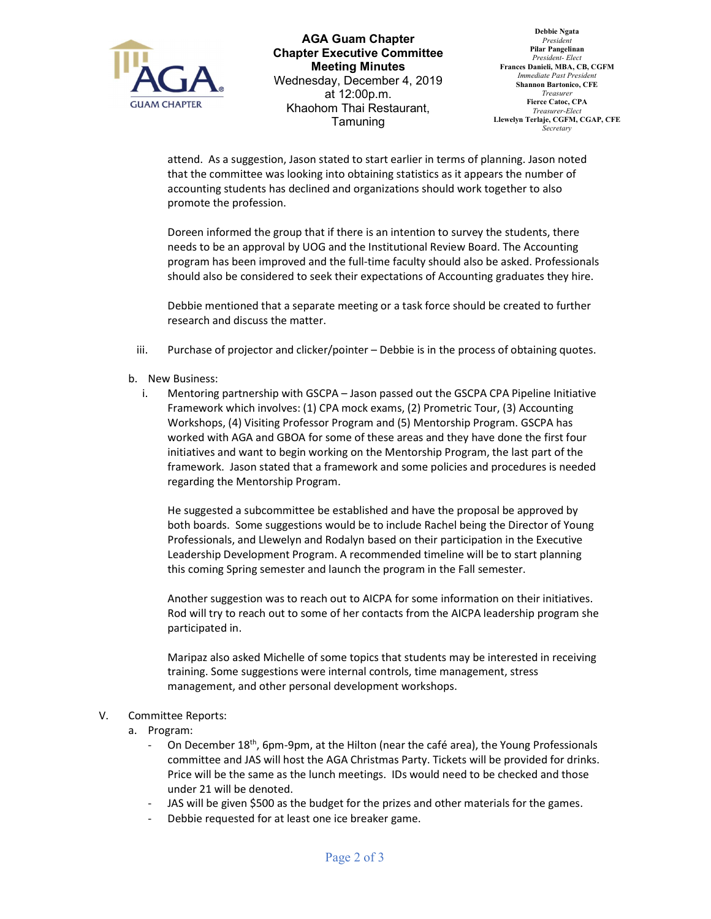

AGA Guam Chapter Chapter Executive Committee Meeting Minutes Wednesday, December 4, 2019 at 12:00p.m. Khaohom Thai Restaurant, Tamuning

Debbie Ngata President Pilar Pangelinan President- Elect Frances Danieli, MBA, CB, CGFM Immediate Past Presiden Shannon Bartonico, CFE Treasurer Fierce Catoc, CPA Treasurer-Elect Llewelyn Terlaje, CGFM, CGAP, CFE **Secretary** 

attend. As a suggestion, Jason stated to start earlier in terms of planning. Jason noted that the committee was looking into obtaining statistics as it appears the number of accounting students has declined and organizations should work together to also promote the profession.

Doreen informed the group that if there is an intention to survey the students, there needs to be an approval by UOG and the Institutional Review Board. The Accounting program has been improved and the full-time faculty should also be asked. Professionals should also be considered to seek their expectations of Accounting graduates they hire.

Debbie mentioned that a separate meeting or a task force should be created to further research and discuss the matter.

- iii. Purchase of projector and clicker/pointer Debbie is in the process of obtaining quotes.
- b. New Business:
	- i. Mentoring partnership with GSCPA Jason passed out the GSCPA CPA Pipeline Initiative Framework which involves: (1) CPA mock exams, (2) Prometric Tour, (3) Accounting Workshops, (4) Visiting Professor Program and (5) Mentorship Program. GSCPA has worked with AGA and GBOA for some of these areas and they have done the first four initiatives and want to begin working on the Mentorship Program, the last part of the framework. Jason stated that a framework and some policies and procedures is needed regarding the Mentorship Program.

He suggested a subcommittee be established and have the proposal be approved by both boards. Some suggestions would be to include Rachel being the Director of Young Professionals, and Llewelyn and Rodalyn based on their participation in the Executive Leadership Development Program. A recommended timeline will be to start planning this coming Spring semester and launch the program in the Fall semester.

Another suggestion was to reach out to AICPA for some information on their initiatives. Rod will try to reach out to some of her contacts from the AICPA leadership program she participated in.

Maripaz also asked Michelle of some topics that students may be interested in receiving training. Some suggestions were internal controls, time management, stress management, and other personal development workshops.

## V. Committee Reports:

- a. Program:
	- On December 18<sup>th</sup>, 6pm-9pm, at the Hilton (near the café area), the Young Professionals committee and JAS will host the AGA Christmas Party. Tickets will be provided for drinks. Price will be the same as the lunch meetings. IDs would need to be checked and those under 21 will be denoted.
	- JAS will be given \$500 as the budget for the prizes and other materials for the games.
	- Debbie requested for at least one ice breaker game.